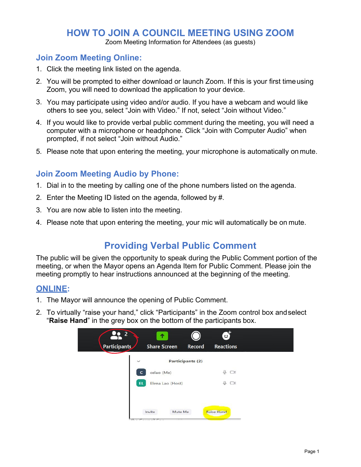## **HOW TO JOIN A COUNCIL MEETING USING ZOOM**

Zoom Meeting Information for Attendees (as guests)

## **Join Zoom Meeting Online:**

- 1. Click the meeting link listed on the agenda.
- 2. You will be prompted to either download or launch Zoom. If this is your first timeusing Zoom, you will need to download the application to your device.
- 3. You may participate using video and/or audio. If you have a webcam and would like others to see you, select "Join with Video." If not, select "Join without Video."
- 4. If you would like to provide verbal public comment during the meeting, you will need a computer with a microphone or headphone. Click "Join with Computer Audio" when prompted, if not select "Join without Audio."
- 5. Please note that upon entering the meeting, your microphone is automatically on mute.

### **Join Zoom Meeting Audio by Phone:**

- 1. Dial in to the meeting by calling one of the phone numbers listed on the agenda.
- 2. Enter the Meeting ID listed on the agenda, followed by #.
- 3. You are now able to listen into the meeting.
- 4. Please note that upon entering the meeting, your mic will automatically be on mute.

# **Providing Verbal Public Comment**

The public will be given the opportunity to speak during the Public Comment portion of the meeting, or when the Mayor opens an Agenda Item for Public Comment. Please join the meeting promptly to hear instructions announced at the beginning of the meeting.

### **ONLINE:**

- 1. The Mayor will announce the opening of Public Comment.
- 2. To virtually "raise your hand," click "Participants" in the Zoom control box andselect "**Raise Hand**" in the grey box on the bottom of the participants box.